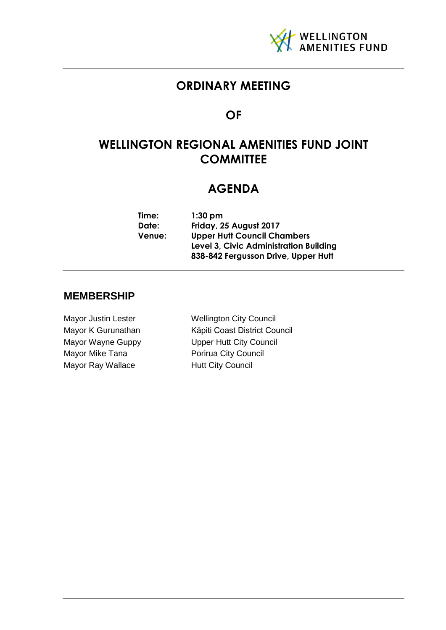

## **ORDINARY MEETING**

## **OF**

## **WELLINGTON REGIONAL AMENITIES FUND JOINT COMMITTEE**

## **AGENDA**

| Time:         | $1:30$ pm                              |
|---------------|----------------------------------------|
| Date:         | Friday, 25 August 2017                 |
| <b>Venue:</b> | <b>Upper Hutt Council Chambers</b>     |
|               | Level 3, Civic Administration Building |
|               | 838-842 Fergusson Drive, Upper Hutt    |

## **MEMBERSHIP**

Mayor Mike Tana **Porirua City Council** Mayor Ray Wallace **Hutt City Council** 

Mayor Justin Lester Wellington City Council Mayor K Gurunathan Kāpiti Coast District Council Mayor Wayne Guppy **Upper Hutt City Council**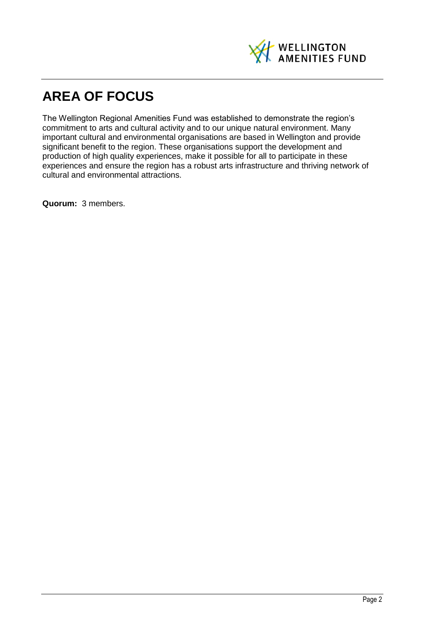

# **AREA OF FOCUS**

The Wellington Regional Amenities Fund was established to demonstrate the region's commitment to arts and cultural activity and to our unique natural environment. Many important cultural and environmental organisations are based in Wellington and provide significant benefit to the region. These organisations support the development and production of high quality experiences, make it possible for all to participate in these experiences and ensure the region has a robust arts infrastructure and thriving network of cultural and environmental attractions.

**Quorum:** 3 members.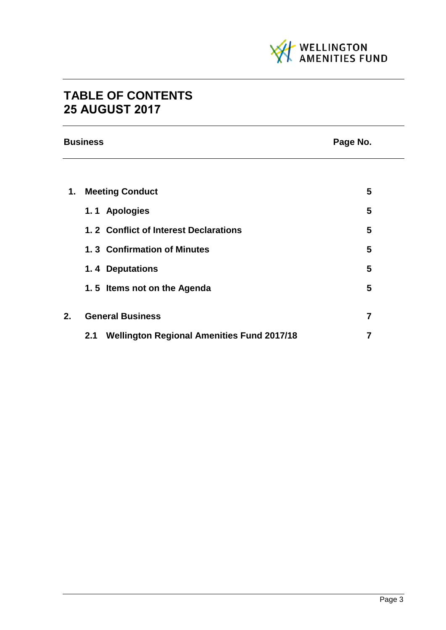

## **TABLE OF CONTENTS 25 AUGUST 2017**

|    | <b>Business</b><br>Page No.                              |                |  |
|----|----------------------------------------------------------|----------------|--|
|    |                                                          |                |  |
| 1. | <b>Meeting Conduct</b>                                   | 5              |  |
|    | 1.1 Apologies                                            | 5              |  |
|    | 1.2 Conflict of Interest Declarations                    | 5              |  |
|    | 1.3 Confirmation of Minutes                              | 5              |  |
|    | 1.4 Deputations                                          | 5              |  |
|    | 1.5 Items not on the Agenda                              | 5              |  |
| 2. | <b>General Business</b>                                  | $\overline{7}$ |  |
|    | <b>Wellington Regional Amenities Fund 2017/18</b><br>2.1 | 7              |  |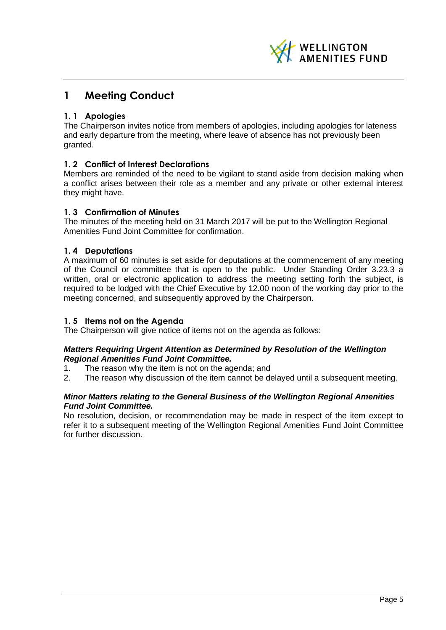

## <span id="page-4-0"></span>**1 Meeting Conduct**

## <span id="page-4-1"></span>**1. 1 Apologies**

The Chairperson invites notice from members of apologies, including apologies for lateness and early departure from the meeting, where leave of absence has not previously been granted.

### <span id="page-4-2"></span>**1. 2 Conflict of Interest Declarations**

Members are reminded of the need to be vigilant to stand aside from decision making when a conflict arises between their role as a member and any private or other external interest they might have.

### <span id="page-4-3"></span>**1. 3 Confirmation of Minutes**

The minutes of the meeting held on 31 March 2017 will be put to the Wellington Regional Amenities Fund Joint Committee for confirmation.

### <span id="page-4-4"></span>**1. 4 Deputations**

A maximum of 60 minutes is set aside for deputations at the commencement of any meeting of the Council or committee that is open to the public. Under Standing Order 3.23.3 a written, oral or electronic application to address the meeting setting forth the subject, is required to be lodged with the Chief Executive by 12.00 noon of the working day prior to the meeting concerned, and subsequently approved by the Chairperson.

### <span id="page-4-5"></span>**1. 5 Items not on the Agenda**

The Chairperson will give notice of items not on the agenda as follows:

### *Matters Requiring Urgent Attention as Determined by Resolution of the Wellington Regional Amenities Fund Joint Committee.*

- 1. The reason why the item is not on the agenda; and
- 2. The reason why discussion of the item cannot be delayed until a subsequent meeting.

### *Minor Matters relating to the General Business of the Wellington Regional Amenities Fund Joint Committee.*

No resolution, decision, or recommendation may be made in respect of the item except to refer it to a subsequent meeting of the Wellington Regional Amenities Fund Joint Committee for further discussion.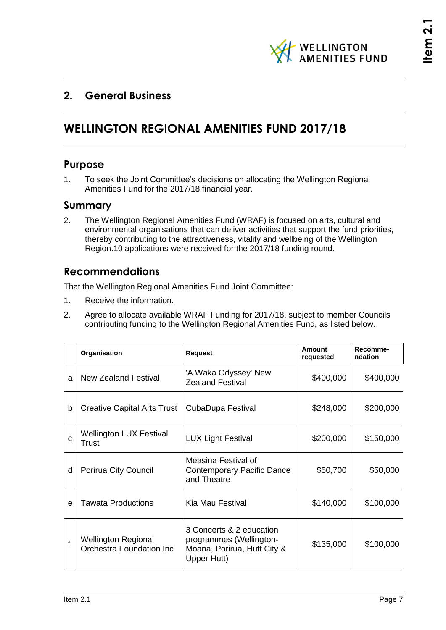

## <span id="page-6-1"></span><span id="page-6-0"></span>**2. General Business**

## **WELLINGTON REGIONAL AMENITIES FUND 2017/18**

## **Purpose**

1. To seek the Joint Committee's decisions on allocating the Wellington Regional Amenities Fund for the 2017/18 financial year.

## **Summary**

2. The Wellington Regional Amenities Fund (WRAF) is focused on arts, cultural and environmental organisations that can deliver activities that support the fund priorities, thereby contributing to the attractiveness, vitality and wellbeing of the Wellington Region.10 applications were received for the 2017/18 funding round.

## **Recommendations**

That the Wellington Regional Amenities Fund Joint Committee:

- 1. Receive the information.
- 2. Agree to allocate available WRAF Funding for 2017/18, subject to member Councils contributing funding to the Wellington Regional Amenities Fund, as listed below.

|   | Organisation                                           | <b>Request</b>                                                                                    | Amount<br>requested | Recomme-<br>ndation |
|---|--------------------------------------------------------|---------------------------------------------------------------------------------------------------|---------------------|---------------------|
| a | <b>New Zealand Festival</b>                            | 'A Waka Odyssey' New<br><b>Zealand Festival</b>                                                   | \$400,000           | \$400,000           |
| b | <b>Creative Capital Arts Trust</b>                     | CubaDupa Festival                                                                                 | \$248,000           | \$200,000           |
| C | <b>Wellington LUX Festival</b><br>Trust                | <b>LUX Light Festival</b>                                                                         | \$200,000           | \$150,000           |
| d | Porirua City Council                                   | Measina Festival of<br><b>Contemporary Pacific Dance</b><br>and Theatre                           | \$50,700            | \$50,000            |
| e | <b>Tawata Productions</b>                              | Kia Mau Festival                                                                                  | \$140,000           | \$100,000           |
| f | <b>Wellington Regional</b><br>Orchestra Foundation Inc | 3 Concerts & 2 education<br>programmes (Wellington-<br>Moana, Porirua, Hutt City &<br>Upper Hutt) | \$135,000           | \$100,000           |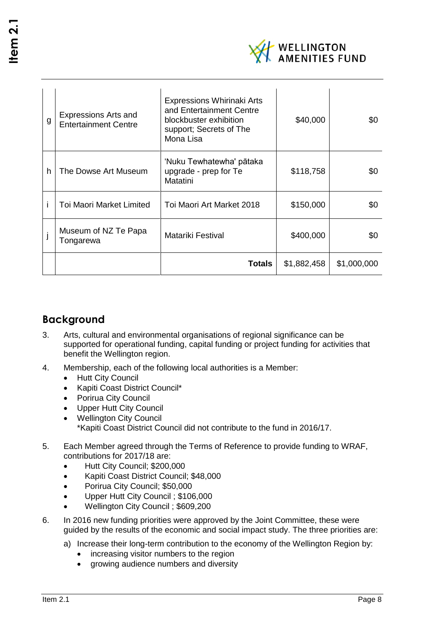

| g | <b>Expressions Arts and</b><br><b>Entertainment Centre</b> | <b>Expressions Whirinaki Arts</b><br>and Entertainment Centre<br>blockbuster exhibition<br>support; Secrets of The<br>Mona Lisa | \$40,000    | \$0         |
|---|------------------------------------------------------------|---------------------------------------------------------------------------------------------------------------------------------|-------------|-------------|
| h | The Dowse Art Museum                                       | 'Nuku Tewhatewha' pātaka<br>upgrade - prep for Te<br>Matatini                                                                   | \$118,758   | \$0         |
|   | <b>Toi Maori Market Limited</b>                            | Toi Maori Art Market 2018                                                                                                       | \$150,000   | \$0         |
|   | Museum of NZ Te Papa<br>Tongarewa                          | Matariki Festival                                                                                                               | \$400,000   | \$0         |
|   |                                                            | Totals                                                                                                                          | \$1,882,458 | \$1,000,000 |

## **Background**

- 3. Arts, cultural and environmental organisations of regional significance can be supported for operational funding, capital funding or project funding for activities that benefit the Wellington region.
- 4. Membership, each of the following local authorities is a Member:
	- Hutt City Council
	- Kapiti Coast District Council\*
	- Porirua City Council
	- Upper Hutt City Council
	- Wellington City Council \*Kapiti Coast District Council did not contribute to the fund in 2016/17.
- 5. Each Member agreed through the Terms of Reference to provide funding to WRAF, contributions for 2017/18 are:
	- Hutt City Council; \$200,000
	- Kapiti Coast District Council; \$48,000
	- Porirua City Council; \$50,000
	- Upper Hutt City Council ; \$106,000
	- Wellington City Council ; \$609,200
- 6. In 2016 new funding priorities were approved by the Joint Committee, these were guided by the results of the economic and social impact study. The three priorities are:
	- a) Increase their long-term contribution to the economy of the Wellington Region by:
		- increasing visitor numbers to the region
		- growing audience numbers and diversity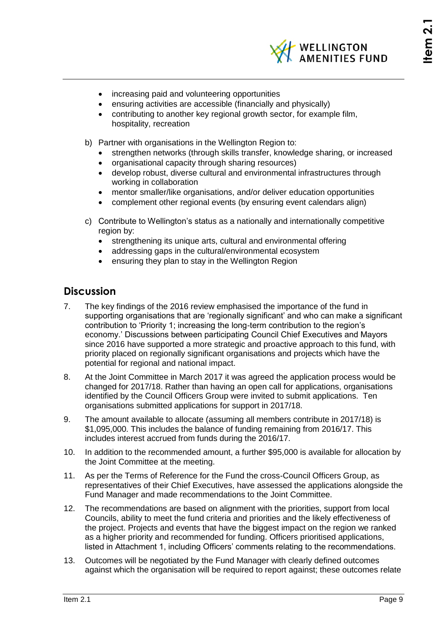

- increasing paid and volunteering opportunities
- ensuring activities are accessible (financially and physically)
- contributing to another key regional growth sector, for example film, hospitality, recreation
- b) Partner with organisations in the Wellington Region to:
	- strengthen networks (through skills transfer, knowledge sharing, or increased
	- organisational capacity through sharing resources)
	- develop robust, diverse cultural and environmental infrastructures through working in collaboration
	- mentor smaller/like organisations, and/or deliver education opportunities
	- complement other regional events (by ensuring event calendars align)
- c) Contribute to Wellington's status as a nationally and internationally competitive region by:
	- strengthening its unique arts, cultural and environmental offering
	- addressing gaps in the cultural/environmental ecosystem
	- ensuring they plan to stay in the Wellington Region

## **Discussion**

- 7. The key findings of the 2016 review emphasised the importance of the fund in supporting organisations that are 'regionally significant' and who can make a significant contribution to 'Priority 1; increasing the long-term contribution to the region's economy.' Discussions between participating Council Chief Executives and Mayors since 2016 have supported a more strategic and proactive approach to this fund, with priority placed on regionally significant organisations and projects which have the potential for regional and national impact.
- 8. At the Joint Committee in March 2017 it was agreed the application process would be changed for 2017/18. Rather than having an open call for applications, organisations identified by the Council Officers Group were invited to submit applications. Ten organisations submitted applications for support in 2017/18.
- 9. The amount available to allocate (assuming all members contribute in 2017/18) is \$1,095,000. This includes the balance of funding remaining from 2016/17. This includes interest accrued from funds during the 2016/17.
- 10. In addition to the recommended amount, a further \$95,000 is available for allocation by the Joint Committee at the meeting.
- 11. As per the Terms of Reference for the Fund the cross-Council Officers Group, as representatives of their Chief Executives, have assessed the applications alongside the Fund Manager and made recommendations to the Joint Committee.
- 12. The recommendations are based on alignment with the priorities, support from local Councils, ability to meet the fund criteria and priorities and the likely effectiveness of the project. Projects and events that have the biggest impact on the region we ranked as a higher priority and recommended for funding. Officers prioritised applications, listed in Attachment 1, including Officers' comments relating to the recommendations.
- 13. Outcomes will be negotiated by the Fund Manager with clearly defined outcomes against which the organisation will be required to report against; these outcomes relate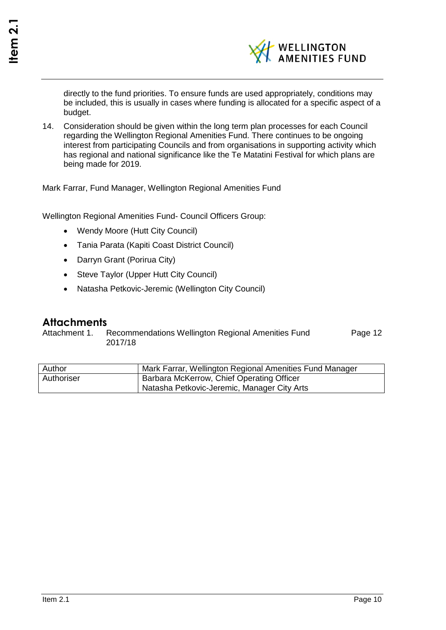

directly to the fund priorities. To ensure funds are used appropriately, conditions may be included, this is usually in cases where funding is allocated for a specific aspect of a budget.

14. Consideration should be given within the long term plan processes for each Council regarding the Wellington Regional Amenities Fund. There continues to be ongoing interest from participating Councils and from organisations in supporting activity which has regional and national significance like the Te Matatini Festival for which plans are being made for 2019.

Mark Farrar, Fund Manager, Wellington Regional Amenities Fund

Wellington Regional Amenities Fund- Council Officers Group:

- Wendy Moore (Hutt City Council)
- Tania Parata (Kapiti Coast District Council)
- Darryn Grant (Porirua City)
- Steve Taylor (Upper Hutt City Council)
- Natasha Petkovic-Jeremic (Wellington City Council)

## **Attachments**

Attachment 1. Recommendations Wellington Regional Amenities Fund 2017/18 Page [12](#page-11-0)

| Author     | Mark Farrar, Wellington Regional Amenities Fund Manager |
|------------|---------------------------------------------------------|
| Authoriser | Barbara McKerrow, Chief Operating Officer               |
|            | Natasha Petkovic-Jeremic, Manager City Arts             |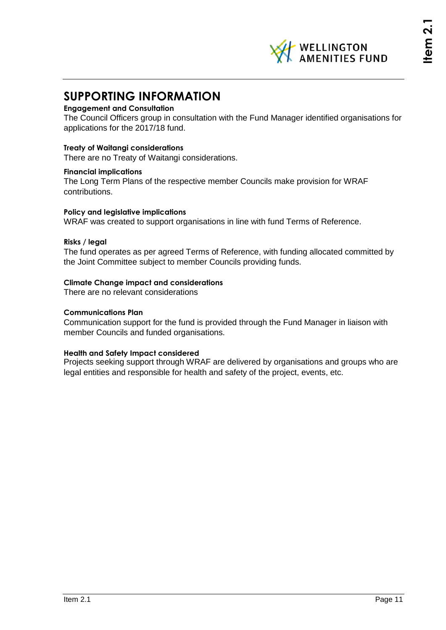## **SUPPORTING INFORMATION**

### **Engagement and Consultation**

The Council Officers group in consultation with the Fund Manager identified organisations for applications for the 2017/18 fund.

### **Treaty of Waitangi considerations**

There are no Treaty of Waitangi considerations.

### **Financial implications**

The Long Term Plans of the respective member Councils make provision for WRAF contributions.

### **Policy and legislative implications**

WRAF was created to support organisations in line with fund Terms of Reference.

#### **Risks / legal**

The fund operates as per agreed Terms of Reference, with funding allocated committed by the Joint Committee subject to member Councils providing funds.

### **Climate Change impact and considerations**

There are no relevant considerations

#### **Communications Plan**

Communication support for the fund is provided through the Fund Manager in liaison with member Councils and funded organisations.

### **Health and Safety Impact considered**

Projects seeking support through WRAF are delivered by organisations and groups who are legal entities and responsible for health and safety of the project, events, etc.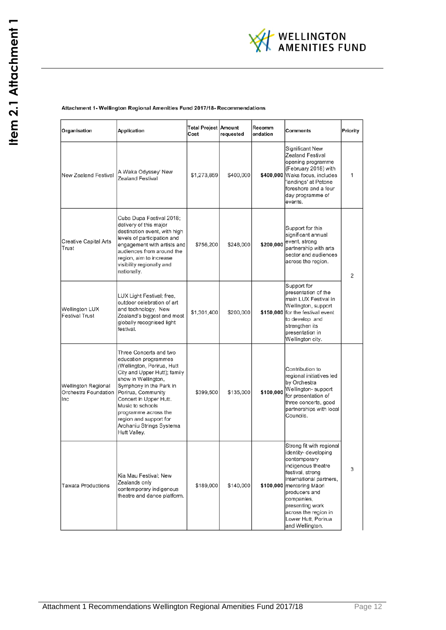

#### <span id="page-11-0"></span>Attachment 1- Wellington Regional Amenities Fund 2017/18- Recommendations

| Organisation                                       | <b>Application</b>                                                                                                                                                                                                                                                                                                               | Total Project Amount<br>Cost | requested | Recomm<br>endation | <b>Comments</b>                                                                                                                                                                                                                                                                        | Priority |
|----------------------------------------------------|----------------------------------------------------------------------------------------------------------------------------------------------------------------------------------------------------------------------------------------------------------------------------------------------------------------------------------|------------------------------|-----------|--------------------|----------------------------------------------------------------------------------------------------------------------------------------------------------------------------------------------------------------------------------------------------------------------------------------|----------|
| New Zealand Festival                               | A Waka Odyssey' New<br>Zealand Festival                                                                                                                                                                                                                                                                                          | \$1,273,859                  | \$400,000 |                    | Significant New<br>Zealand Festival<br>opening programme<br>(February 2018) with<br>\$400,000 Waka focus, includes<br>'landings' at Petone<br>foreshore and a four<br>day programme of<br>events.                                                                                      | 1        |
| <b>Creative Capital Arts</b><br>Trust              | Cuba Dupa Festival 2018;<br>delivery of this major<br>destination event, with high<br>levels of participation and<br>engagement with artists and<br>audiences from around the<br>region, aim to increase<br>visibility regionally and<br>nationally.                                                                             | \$756,200                    | \$248,000 | \$200,000          | Support for this<br>significant annual<br>event, strong<br>partnership with arts<br>sector and audiences<br>across the region.                                                                                                                                                         | 2        |
| Wellington LUX<br><b>Festival Trust</b>            | LUX Light Festival; free,<br>outdoor celebration of art<br>and technology, New<br>Zealand's biggest and most<br>globally recognised light<br>festival.                                                                                                                                                                           | \$1,301,400                  | \$200,000 |                    | Support for<br>presentation of the<br>main LUX Festival in<br>Wellington, support<br>\$150,000 for the festival event<br>to develop and<br>strengthen its<br>presentation in<br>Wellington city.                                                                                       |          |
| Wellington Regional<br>Orchestra Foundation<br>Inc | Three Concerts and two<br>education programmes<br>(Wellington, Porirua, Hutt<br>City and Upper Hutt); family<br>show in Wellington,<br>Symphony in the Park in<br>Porirua, Community<br>Concert in Upper Hutt.<br>Music to schools<br>programme across the<br>region and support for<br>Arohaniu Strings Systema<br>Hutt Valley. | \$399,500                    | \$135,000 | \$100,000          | Contribution to<br>regional initiatives led<br>by Orchestra<br>Wellington-support<br>for presentation of<br>three concerts, good<br>partnerships with local<br>Councils.                                                                                                               |          |
| <b>Tawata Productions</b>                          | Kia Mau Festival; New<br>Zealands only<br>contemporary indigenous<br>theatre and dance platform.                                                                                                                                                                                                                                 | \$189,000                    | \$140,000 |                    | Strong fit with regional<br>identity- developing<br>contemporary<br>indigenous theatre<br>festival, strong<br>international partners,<br>\$100,000 mentoring Māori<br>producers and<br>companies,<br>presenting work<br>across the region in<br>Lower Hutt, Porirua<br>and Wellington. | 3        |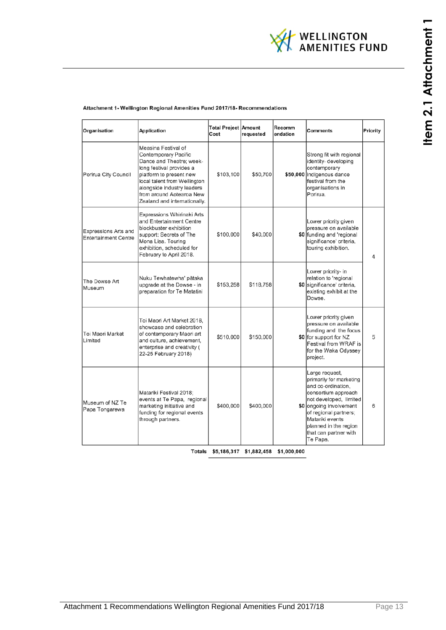

#### Attachment 1- Wellington Regional Amenities Fund 2017/18- Recommendations

| Organisation                                               | <b>Application</b>                                                                                                                                                                                                                                       | <b>Total Project Amount</b><br>Cost | requested | Recomm<br>endation | <b>Comments</b>                                                                                                                                                                                                                                       | Priority |
|------------------------------------------------------------|----------------------------------------------------------------------------------------------------------------------------------------------------------------------------------------------------------------------------------------------------------|-------------------------------------|-----------|--------------------|-------------------------------------------------------------------------------------------------------------------------------------------------------------------------------------------------------------------------------------------------------|----------|
| Porirua City Council                                       | Measina Festival of<br>Contemporary Pacific<br>Dance and Theatre; week-<br>long festival provides a<br>platform to present new<br>local talent from Wellington<br>alongside industry leaders<br>from around Aotearoa New<br>Zealand and internationally. | \$103,100                           | \$50,700  |                    | Strong fit with regional<br>identity- developing<br>contemporary<br>\$50,000 indigenous dance<br>festival from the<br>organisations in<br>Porirua.                                                                                                    |          |
| <b>Expressions Arts and</b><br><b>Entertainment Centre</b> | Expressions Whirinaki Arts<br>and Entertainment Centre<br>blockbuster exhibition<br>support; Secrets of The<br>Mona Lisa. Touring<br>exhibition, scheduled for<br>February to April 2018.                                                                | \$100,000                           | \$40,000  |                    | Lower priority given<br>pressure on available<br>\$0 funding and 'regional<br>significance' criteria,<br>touring exhibition.                                                                                                                          | 4        |
| The Dowse Art<br>Museum                                    | Nuku Tewhatewha' pātaka<br>upgrade at the Dowse - in<br>preparation for Te Matatini                                                                                                                                                                      | \$153,258                           | \$118,758 |                    | Lower priority- in<br>relation to 'regional<br>\$0 significance' criteria,<br>existing exhibit at the<br>Dowse.                                                                                                                                       |          |
| Toi Maori Market<br>Limited                                | Toi Maori Art Market 2018.<br>showcase and celebration<br>of contemporary Maori art<br>and culture, achievement,<br>enterprise and creativity (<br>22-25 February 2018)                                                                                  | \$510,000                           | \$150,000 |                    | Lower priority given<br>pressure on available<br>funding and the focus<br>\$0 for support for NZ<br>Festival from WRAF is<br>for the Waka Odyssey<br>project.                                                                                         | 5        |
| Museum of NZ Te<br>Papa Tongarewa                          | Matariki Festival 2018:<br>events at Te Papa, regional<br>marketing initiative and<br>funding for regional events<br>through partners.                                                                                                                   | \$400,000                           | \$400,000 |                    | Large request,<br>primarily for marketing<br>and co-ordination,<br>consortium approach<br>not developed, limited<br>\$0 ongoing involvement<br>of regional partners;<br>Matariki events<br>planned in the region<br>that can partner with<br>Te Papa. | 6        |

Totals \$5,186,317 \$1,882,458 \$1,000,000